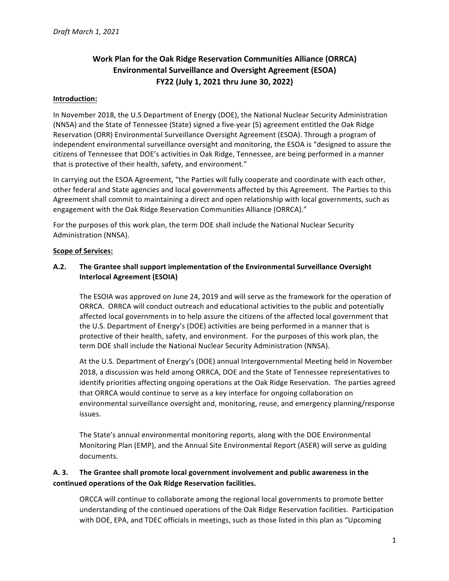# **Work Plan for the Oak Ridge Reservation Communities Alliance (ORRCA) Environmental Surveillance and Oversight Agreement (ESOA) FY22 (July 1, 2021 thru June 30, 2022)**

#### **Introduction:**

In November 2018, the U.S Department of Energy (DOE), the National Nuclear Security Administration (NNSA) and the State of Tennessee (State) signed a five-year (5) agreement entitled the Oak Ridge Reservation (ORR) Environmental Surveillance Oversight Agreement (ESOA). Through a program of independent environmental surveillance oversight and monitoring, the ESOA is "designed to assure the citizens of Tennessee that DOE's activities in Oak Ridge, Tennessee, are being performed in a manner that is protective of their health, safety, and environment."

In carrying out the ESOA Agreement, "the Parties will fully cooperate and coordinate with each other, other federal and State agencies and local governments affected by this Agreement. The Parties to this Agreement shall commit to maintaining a direct and open relationship with local governments, such as engagement with the Oak Ridge Reservation Communities Alliance (ORRCA)."

For the purposes of this work plan, the term DOE shall include the National Nuclear Security Administration (NNSA).

#### **Scope of Services:**

#### A.2. The Grantee shall support implementation of the Environmental Surveillance Oversight **Interlocal Agreement (ESOIA)**

The ESOIA was approved on June 24, 2019 and will serve as the framework for the operation of ORRCA. ORRCA will conduct outreach and educational activities to the public and potentially affected local governments in to help assure the citizens of the affected local government that the U.S. Department of Energy's (DOE) activities are being performed in a manner that is protective of their health, safety, and environment. For the purposes of this work plan, the term DOE shall include the National Nuclear Security Administration (NNSA).

At the U.S. Department of Energy's (DOE) annual Intergovernmental Meeting held in November 2018, a discussion was held among ORRCA, DOE and the State of Tennessee representatives to identify priorities affecting ongoing operations at the Oak Ridge Reservation. The parties agreed that ORRCA would continue to serve as a key interface for ongoing collaboration on environmental surveillance oversight and, monitoring, reuse, and emergency planning/response issues.

The State's annual environmental monitoring reports, along with the DOE Environmental Monitoring Plan (EMP), and the Annual Site Environmental Report (ASER) will serve as guiding documents.

## A. 3. The Grantee shall promote local government involvement and public awareness in the **continued operations of the Oak Ridge Reservation facilities.**

ORCCA will continue to collaborate among the regional local governments to promote better understanding of the continued operations of the Oak Ridge Reservation facilities. Participation with DOE, EPA, and TDEC officials in meetings, such as those listed in this plan as "Upcoming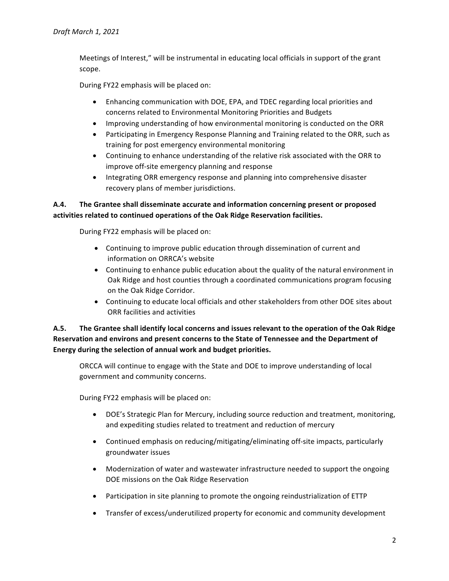Meetings of Interest," will be instrumental in educating local officials in support of the grant scope.

During FY22 emphasis will be placed on:

- Enhancing communication with DOE, EPA, and TDEC regarding local priorities and concerns related to Environmental Monitoring Priorities and Budgets
- Improving understanding of how environmental monitoring is conducted on the ORR
- Participating in Emergency Response Planning and Training related to the ORR, such as training for post emergency environmental monitoring
- Continuing to enhance understanding of the relative risk associated with the ORR to improve off-site emergency planning and response
- Integrating ORR emergency response and planning into comprehensive disaster recovery plans of member jurisdictions.

# A.4. The Grantee shall disseminate accurate and information concerning present or proposed activities related to continued operations of the Oak Ridge Reservation facilities.

During FY22 emphasis will be placed on:

- Continuing to improve public education through dissemination of current and information on ORRCA's website
- Continuing to enhance public education about the quality of the natural environment in Oak Ridge and host counties through a coordinated communications program focusing on the Oak Ridge Corridor.
- Continuing to educate local officials and other stakeholders from other DOE sites about ORR facilities and activities

# A.5. The Grantee shall identify local concerns and issues relevant to the operation of the Oak Ridge Reservation and environs and present concerns to the State of Tennessee and the Department of Energy during the selection of annual work and budget priorities.

ORCCA will continue to engage with the State and DOE to improve understanding of local government and community concerns.

During FY22 emphasis will be placed on:

- DOE's Strategic Plan for Mercury, including source reduction and treatment, monitoring, and expediting studies related to treatment and reduction of mercury
- Continued emphasis on reducing/mitigating/eliminating off-site impacts, particularly groundwater issues
- Modernization of water and wastewater infrastructure needed to support the ongoing DOE missions on the Oak Ridge Reservation
- Participation in site planning to promote the ongoing reindustrialization of ETTP
- Transfer of excess/underutilized property for economic and community development